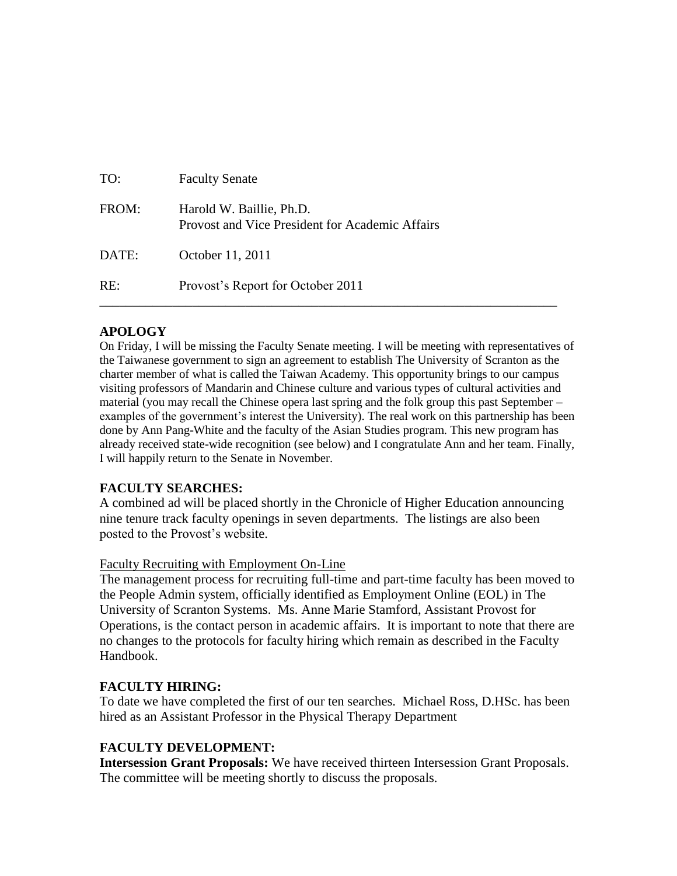| TO:   | <b>Faculty Senate</b>                                                       |
|-------|-----------------------------------------------------------------------------|
| FROM: | Harold W. Baillie, Ph.D.<br>Provost and Vice President for Academic Affairs |
| DATE: | October 11, 2011                                                            |
| RE:   | Provost's Report for October 2011                                           |

# **APOLOGY**

On Friday, I will be missing the Faculty Senate meeting. I will be meeting with representatives of the Taiwanese government to sign an agreement to establish The University of Scranton as the charter member of what is called the Taiwan Academy. This opportunity brings to our campus visiting professors of Mandarin and Chinese culture and various types of cultural activities and material (you may recall the Chinese opera last spring and the folk group this past September – examples of the government's interest the University). The real work on this partnership has been done by Ann Pang-White and the faculty of the Asian Studies program. This new program has already received state-wide recognition (see below) and I congratulate Ann and her team. Finally, I will happily return to the Senate in November.

# **FACULTY SEARCHES:**

A combined ad will be placed shortly in the Chronicle of Higher Education announcing nine tenure track faculty openings in seven departments. The listings are also been posted to the Provost's website.

# Faculty Recruiting with Employment On-Line

The management process for recruiting full-time and part-time faculty has been moved to the People Admin system, officially identified as Employment Online (EOL) in The University of Scranton Systems. Ms. Anne Marie Stamford, Assistant Provost for Operations, is the contact person in academic affairs. It is important to note that there are no changes to the protocols for faculty hiring which remain as described in the Faculty Handbook.

# **FACULTY HIRING:**

To date we have completed the first of our ten searches. Michael Ross, D.HSc. has been hired as an Assistant Professor in the Physical Therapy Department

# **FACULTY DEVELOPMENT:**

**Intersession Grant Proposals:** We have received thirteen Intersession Grant Proposals. The committee will be meeting shortly to discuss the proposals.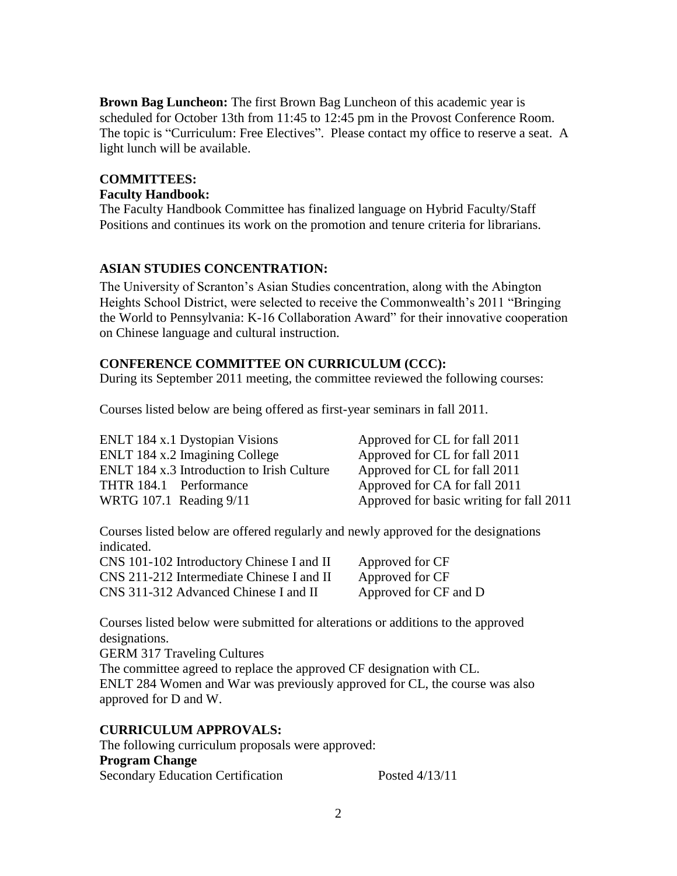**Brown Bag Luncheon:** The first Brown Bag Luncheon of this academic year is scheduled for October 13th from 11:45 to 12:45 pm in the Provost Conference Room. The topic is "Curriculum: Free Electives". Please contact my office to reserve a seat. A light lunch will be available.

# **COMMITTEES:**

# **Faculty Handbook:**

The Faculty Handbook Committee has finalized language on Hybrid Faculty/Staff Positions and continues its work on the promotion and tenure criteria for librarians.

# **ASIAN STUDIES CONCENTRATION:**

The University of Scranton's Asian Studies concentration, along with the Abington Heights School District, were selected to receive the Commonwealth's 2011 "Bringing the World to Pennsylvania: K-16 Collaboration Award" for their innovative cooperation on Chinese language and cultural instruction.

# **CONFERENCE COMMITTEE ON CURRICULUM (CCC):**

During its September 2011 meeting, the committee reviewed the following courses:

Courses listed below are being offered as first-year seminars in fall 2011.

ENLT 184 x.1 Dystopian Visions Approved for CL for fall 2011 ENLT 184 x.2 Imagining College Approved for CL for fall 2011 ENLT 184 x.3 Introduction to Irish Culture Approved for CL for fall 2011 THTR 184.1 Performance Approved for CA for fall 2011 WRTG 107.1 Reading  $9/11$  Approved for basic writing for fall 2011

Courses listed below are offered regularly and newly approved for the designations indicated.

| CNS 101-102 Introductory Chinese I and II |  |
|-------------------------------------------|--|
| CNS 211-212 Intermediate Chinese I and II |  |
| CNS 311-312 Advanced Chinese I and II     |  |

Approved for CF Approved for CF Approved for CF and D

Courses listed below were submitted for alterations or additions to the approved designations.

GERM 317 Traveling Cultures

The committee agreed to replace the approved CF designation with CL. ENLT 284 Women and War was previously approved for CL, the course was also approved for D and W.

# **CURRICULUM APPROVALS:**

The following curriculum proposals were approved: **Program Change** Secondary Education Certification Posted 4/13/11